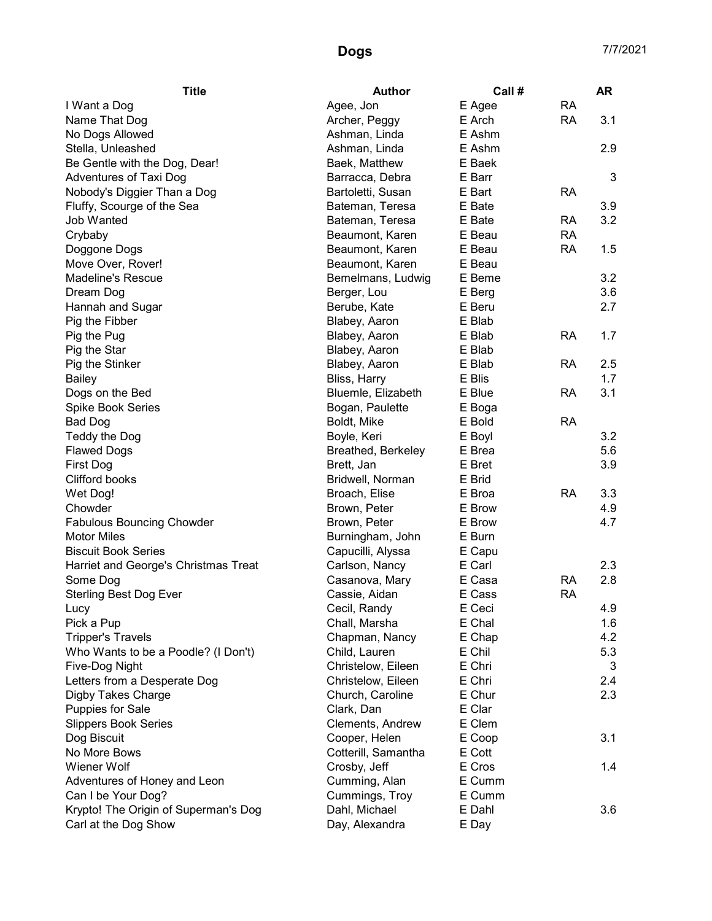| <b>Title</b>                         | <b>Author</b>       | Call # |           | <b>AR</b> |
|--------------------------------------|---------------------|--------|-----------|-----------|
| I Want a Dog                         | Agee, Jon           | E Agee | <b>RA</b> |           |
| Name That Dog                        | Archer, Peggy       | E Arch | <b>RA</b> | 3.1       |
| No Dogs Allowed                      | Ashman, Linda       | E Ashm |           |           |
| Stella, Unleashed                    | Ashman, Linda       | E Ashm |           | 2.9       |
| Be Gentle with the Dog, Dear!        | Baek, Matthew       | E Baek |           |           |
| Adventures of Taxi Dog               | Barracca, Debra     | E Barr |           | 3         |
| Nobody's Diggier Than a Dog          | Bartoletti, Susan   | E Bart | <b>RA</b> |           |
| Fluffy, Scourge of the Sea           | Bateman, Teresa     | E Bate |           | 3.9       |
| Job Wanted                           | Bateman, Teresa     | E Bate | RA        | 3.2       |
| Crybaby                              | Beaumont, Karen     | E Beau | <b>RA</b> |           |
| Doggone Dogs                         | Beaumont, Karen     | E Beau | <b>RA</b> | 1.5       |
| Move Over, Rover!                    | Beaumont, Karen     | E Beau |           |           |
| <b>Madeline's Rescue</b>             | Bemelmans, Ludwig   | E Beme |           | 3.2       |
| Dream Dog                            | Berger, Lou         | E Berg |           | 3.6       |
| Hannah and Sugar                     | Berube, Kate        | E Beru |           | 2.7       |
| Pig the Fibber                       | Blabey, Aaron       | E Blab |           |           |
| Pig the Pug                          | Blabey, Aaron       | E Blab | <b>RA</b> | 1.7       |
| Pig the Star                         | Blabey, Aaron       | E Blab |           |           |
| Pig the Stinker                      | Blabey, Aaron       | E Blab | <b>RA</b> | 2.5       |
| <b>Bailey</b>                        | Bliss, Harry        | E Blis |           | 1.7       |
| Dogs on the Bed                      | Bluemle, Elizabeth  | E Blue | RA        | 3.1       |
| <b>Spike Book Series</b>             | Bogan, Paulette     | E Boga |           |           |
| <b>Bad Dog</b>                       | Boldt, Mike         | E Bold | <b>RA</b> |           |
| Teddy the Dog                        | Boyle, Keri         | E Boyl |           | 3.2       |
| <b>Flawed Dogs</b>                   | Breathed, Berkeley  | E Brea |           | 5.6       |
| <b>First Dog</b>                     | Brett, Jan          | E Bret |           | 3.9       |
| Clifford books                       | Bridwell, Norman    | E Brid |           |           |
| Wet Dog!                             | Broach, Elise       | E Broa | <b>RA</b> | 3.3       |
| Chowder                              | Brown, Peter        | E Brow |           | 4.9       |
| <b>Fabulous Bouncing Chowder</b>     | Brown, Peter        | E Brow |           | 4.7       |
| <b>Motor Miles</b>                   | Burningham, John    | E Burn |           |           |
| <b>Biscuit Book Series</b>           | Capucilli, Alyssa   | E Capu |           |           |
| Harriet and George's Christmas Treat | Carlson, Nancy      | E Carl |           | 2.3       |
| Some Dog                             | Casanova, Mary      | E Casa | <b>RA</b> | 2.8       |
| <b>Sterling Best Dog Ever</b>        | Cassie, Aidan       | E Cass | <b>RA</b> |           |
| Lucy                                 | Cecil, Randy        | E Ceci |           | 4.9       |
| Pick a Pup                           | Chall, Marsha       | E Chal |           | 1.6       |
| <b>Tripper's Travels</b>             | Chapman, Nancy      | E Chap |           | 4.2       |
| Who Wants to be a Poodle? (I Don't)  | Child, Lauren       | E Chil |           | 5.3       |
| Five-Dog Night                       | Christelow, Eileen  | E Chri |           | 3         |
| Letters from a Desperate Dog         | Christelow, Eileen  | E Chri |           | 2.4       |
| Digby Takes Charge                   | Church, Caroline    | E Chur |           | 2.3       |
| <b>Puppies for Sale</b>              | Clark, Dan          | E Clar |           |           |
| <b>Slippers Book Series</b>          | Clements, Andrew    | E Clem |           |           |
| Dog Biscuit                          | Cooper, Helen       | E Coop |           | 3.1       |
| No More Bows                         | Cotterill, Samantha | E Cott |           |           |
| Wiener Wolf                          | Crosby, Jeff        | E Cros |           | 1.4       |
| Adventures of Honey and Leon         | Cumming, Alan       | E Cumm |           |           |
| Can I be Your Dog?                   | Cummings, Troy      | E Cumm |           |           |
| Krypto! The Origin of Superman's Dog | Dahl, Michael       | E Dahl |           | 3.6       |
| Carl at the Dog Show                 | Day, Alexandra      | E Day  |           |           |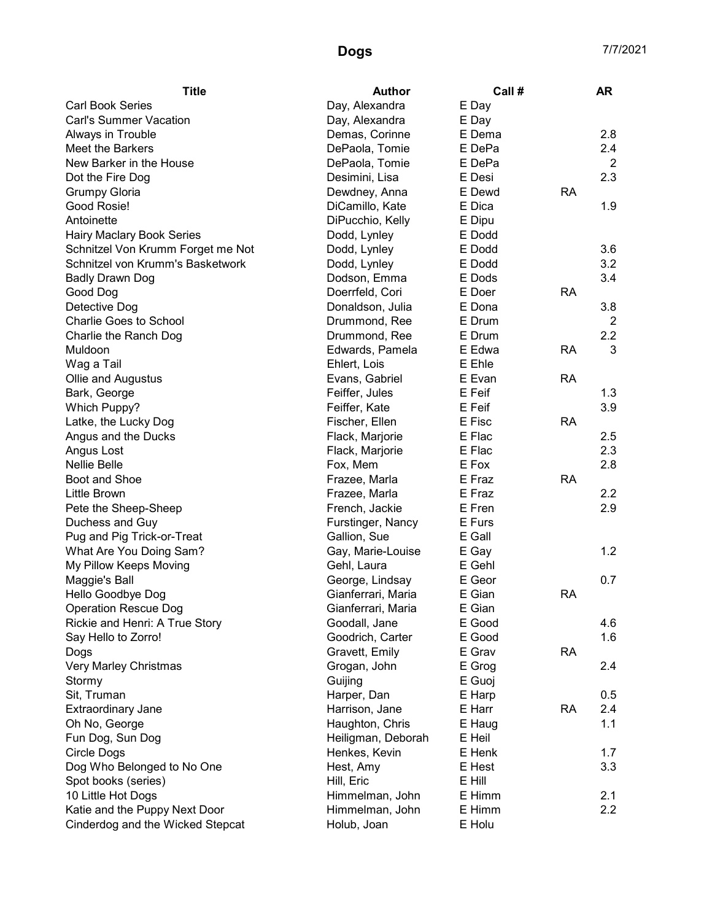| <b>Title</b>                           | <b>Author</b>      | Call # |           | <b>AR</b>      |
|----------------------------------------|--------------------|--------|-----------|----------------|
| <b>Carl Book Series</b>                | Day, Alexandra     | E Day  |           |                |
| <b>Carl's Summer Vacation</b>          | Day, Alexandra     | E Day  |           |                |
| Always in Trouble                      | Demas, Corinne     | E Dema |           | 2.8            |
| Meet the Barkers                       | DePaola, Tomie     | E DePa |           | 2.4            |
| New Barker in the House                | DePaola, Tomie     | E DePa |           | $\overline{2}$ |
| Dot the Fire Dog                       | Desimini, Lisa     | E Desi |           | 2.3            |
| <b>Grumpy Gloria</b>                   | Dewdney, Anna      | E Dewd | <b>RA</b> |                |
| Good Rosie!                            | DiCamillo, Kate    | E Dica |           | 1.9            |
| Antoinette                             | DiPucchio, Kelly   | E Dipu |           |                |
| <b>Hairy Maclary Book Series</b>       | Dodd, Lynley       | E Dodd |           |                |
| Schnitzel Von Krumm Forget me Not      | Dodd, Lynley       | E Dodd |           | 3.6            |
| Schnitzel von Krumm's Basketwork       | Dodd, Lynley       | E Dodd |           | 3.2            |
| <b>Badly Drawn Dog</b>                 | Dodson, Emma       | E Dods |           | 3.4            |
| Good Dog                               | Doerrfeld, Cori    | E Doer | <b>RA</b> |                |
| Detective Dog                          | Donaldson, Julia   | E Dona |           | 3.8            |
| Charlie Goes to School                 | Drummond, Ree      | E Drum |           | 2              |
| Charlie the Ranch Dog                  | Drummond, Ree      | E Drum |           | 2.2            |
| Muldoon                                | Edwards, Pamela    | E Edwa | <b>RA</b> | 3              |
| Wag a Tail                             | Ehlert, Lois       | E Ehle |           |                |
| Ollie and Augustus                     | Evans, Gabriel     | E Evan | <b>RA</b> |                |
| Bark, George                           | Feiffer, Jules     | E Feif |           | 1.3            |
| Which Puppy?                           | Feiffer, Kate      | E Feif |           | 3.9            |
| Latke, the Lucky Dog                   | Fischer, Ellen     | E Fisc | <b>RA</b> |                |
| Angus and the Ducks                    | Flack, Marjorie    | E Flac |           | 2.5            |
| Angus Lost                             | Flack, Marjorie    | E Flac |           | 2.3            |
| <b>Nellie Belle</b>                    | Fox, Mem           | E Fox  |           | 2.8            |
| Boot and Shoe                          | Frazee, Marla      | E Fraz | <b>RA</b> |                |
| Little Brown                           | Frazee, Marla      | E Fraz |           | 2.2            |
| Pete the Sheep-Sheep                   | French, Jackie     | E Fren |           | 2.9            |
| Duchess and Guy                        | Furstinger, Nancy  | E Furs |           |                |
| Pug and Pig Trick-or-Treat             | Gallion, Sue       | E Gall |           |                |
| What Are You Doing Sam?                | Gay, Marie-Louise  | E Gay  |           | 1.2            |
| My Pillow Keeps Moving                 | Gehl, Laura        | E Gehl |           |                |
| Maggie's Ball                          | George, Lindsay    | E Geor |           | 0.7            |
| Hello Goodbye Dog                      | Gianferrari, Maria | E Gian | <b>RA</b> |                |
| <b>Operation Rescue Dog</b>            | Gianferrari, Maria | E Gian |           |                |
| Rickie and Henri: A True Story         | Goodall, Jane      | E Good |           | 4.6            |
| Say Hello to Zorro!                    | Goodrich, Carter   | E Good |           | 1.6            |
| Dogs                                   | Gravett, Emily     | E Grav | <b>RA</b> |                |
| Very Marley Christmas                  | Grogan, John       | E Grog |           | 2.4            |
| Stormy                                 | Guijing            | E Guoj |           |                |
| Sit, Truman                            | Harper, Dan        | E Harp |           | 0.5            |
| <b>Extraordinary Jane</b>              | Harrison, Jane     | E Harr | <b>RA</b> | 2.4            |
|                                        |                    | E Haug |           | 1.1            |
| Oh No, George                          | Haughton, Chris    | E Heil |           |                |
| Fun Dog, Sun Dog<br><b>Circle Dogs</b> | Heiligman, Deborah | E Henk |           | 1.7            |
|                                        | Henkes, Kevin      |        |           |                |
| Dog Who Belonged to No One             | Hest, Amy          | E Hest |           | 3.3            |
| Spot books (series)                    | Hill, Eric         | E Hill |           |                |
| 10 Little Hot Dogs                     | Himmelman, John    | E Himm |           | 2.1            |
| Katie and the Puppy Next Door          | Himmelman, John    | E Himm |           | 2.2            |
| Cinderdog and the Wicked Stepcat       | Holub, Joan        | E Holu |           |                |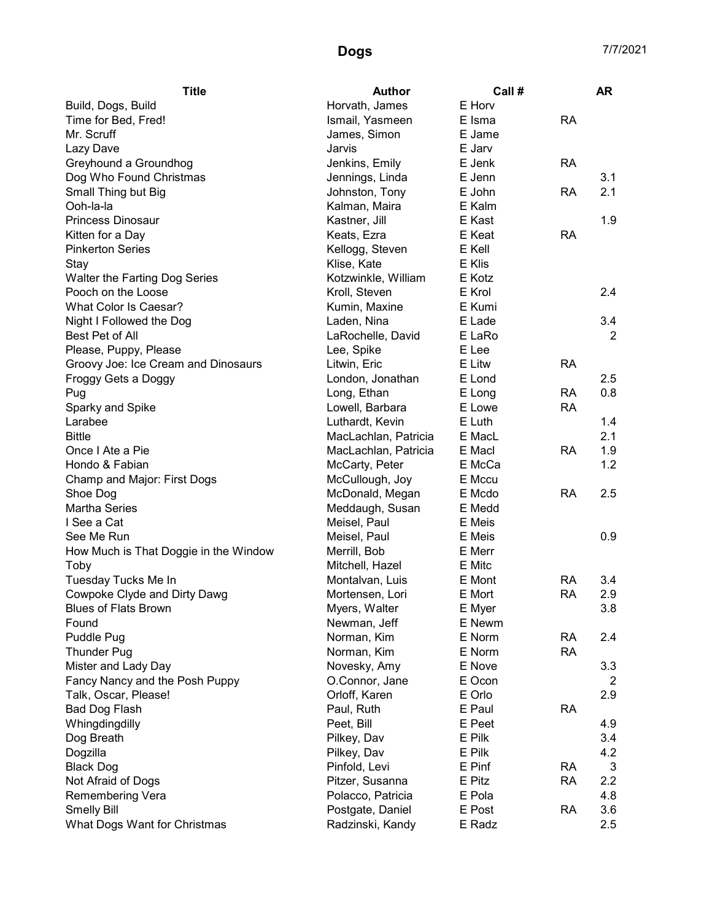| <b>Title</b>                          | <b>Author</b>        | Call # |           | <b>AR</b>      |
|---------------------------------------|----------------------|--------|-----------|----------------|
| Build, Dogs, Build                    | Horvath, James       | E Horv |           |                |
| Time for Bed, Fred!                   | Ismail, Yasmeen      | E Isma | <b>RA</b> |                |
| Mr. Scruff                            | James, Simon         | E Jame |           |                |
| Lazy Dave                             | Jarvis               | E Jarv |           |                |
| Greyhound a Groundhog                 | Jenkins, Emily       | E Jenk | <b>RA</b> |                |
| Dog Who Found Christmas               | Jennings, Linda      | E Jenn |           | 3.1            |
| Small Thing but Big                   | Johnston, Tony       | E John | <b>RA</b> | 2.1            |
| Ooh-la-la                             | Kalman, Maira        | E Kalm |           |                |
| <b>Princess Dinosaur</b>              | Kastner, Jill        | E Kast |           | 1.9            |
| Kitten for a Day                      | Keats, Ezra          | E Keat | <b>RA</b> |                |
| <b>Pinkerton Series</b>               | Kellogg, Steven      | E Kell |           |                |
| Stay                                  | Klise, Kate          | E Klis |           |                |
| Walter the Farting Dog Series         | Kotzwinkle, William  | E Kotz |           |                |
| Pooch on the Loose                    | Kroll, Steven        | E Krol |           | 2.4            |
| What Color Is Caesar?                 | Kumin, Maxine        | E Kumi |           |                |
| Night I Followed the Dog              | Laden, Nina          | E Lade |           | 3.4            |
| Best Pet of All                       | LaRochelle, David    | E LaRo |           | $\overline{2}$ |
| Please, Puppy, Please                 | Lee, Spike           | E Lee  |           |                |
| Groovy Joe: Ice Cream and Dinosaurs   | Litwin, Eric         | E Litw | <b>RA</b> |                |
| Froggy Gets a Doggy                   | London, Jonathan     | E Lond |           | 2.5            |
| Pug                                   | Long, Ethan          | E Long | <b>RA</b> | 0.8            |
| Sparky and Spike                      | Lowell, Barbara      | E Lowe | <b>RA</b> |                |
| Larabee                               | Luthardt, Kevin      | E Luth |           | 1.4            |
| <b>Bittle</b>                         | MacLachlan, Patricia | E MacL |           | 2.1            |
| Once I Ate a Pie                      | MacLachlan, Patricia | E Macl | <b>RA</b> | 1.9            |
| Hondo & Fabian                        | McCarty, Peter       | E McCa |           | 1.2            |
| Champ and Major: First Dogs           | McCullough, Joy      | E Mccu |           |                |
| Shoe Dog                              | McDonald, Megan      | E Mcdo | <b>RA</b> | 2.5            |
| <b>Martha Series</b>                  | Meddaugh, Susan      | E Medd |           |                |
| I See a Cat                           | Meisel, Paul         | E Meis |           |                |
| See Me Run                            | Meisel, Paul         | E Meis |           | 0.9            |
| How Much is That Doggie in the Window | Merrill, Bob         | E Merr |           |                |
| Toby                                  | Mitchell, Hazel      | E Mitc |           |                |
| Tuesday Tucks Me In                   | Montalvan, Luis      | E Mont | <b>RA</b> | 3.4            |
| Cowpoke Clyde and Dirty Dawg          | Mortensen, Lori      | E Mort | <b>RA</b> | 2.9            |
| <b>Blues of Flats Brown</b>           | Myers, Walter        | E Myer |           | 3.8            |
| Found                                 | Newman, Jeff         | E Newm |           |                |
| Puddle Pug                            | Norman, Kim          | E Norm | <b>RA</b> | 2.4            |
| <b>Thunder Pug</b>                    | Norman, Kim          | E Norm | <b>RA</b> |                |
| Mister and Lady Day                   | Novesky, Amy         | E Nove |           | 3.3            |
| Fancy Nancy and the Posh Puppy        | O.Connor, Jane       | E Ocon |           | 2              |
| Talk, Oscar, Please!                  | Orloff, Karen        | E Orlo |           | 2.9            |
| Bad Dog Flash                         | Paul, Ruth           | E Paul | <b>RA</b> |                |
| Whingdingdilly                        | Peet, Bill           | E Peet |           | 4.9            |
| Dog Breath                            | Pilkey, Dav          | E Pilk |           | 3.4            |
| Dogzilla                              | Pilkey, Dav          | E Pilk |           | 4.2            |
| <b>Black Dog</b>                      | Pinfold, Levi        | E Pinf | <b>RA</b> | $\mathbf{3}$   |
| Not Afraid of Dogs                    | Pitzer, Susanna      | E Pitz | <b>RA</b> | 2.2            |
| Remembering Vera                      | Polacco, Patricia    | E Pola |           | 4.8            |
| <b>Smelly Bill</b>                    | Postgate, Daniel     | E Post | <b>RA</b> | 3.6            |
| What Dogs Want for Christmas          | Radzinski, Kandy     | E Radz |           | 2.5            |
|                                       |                      |        |           |                |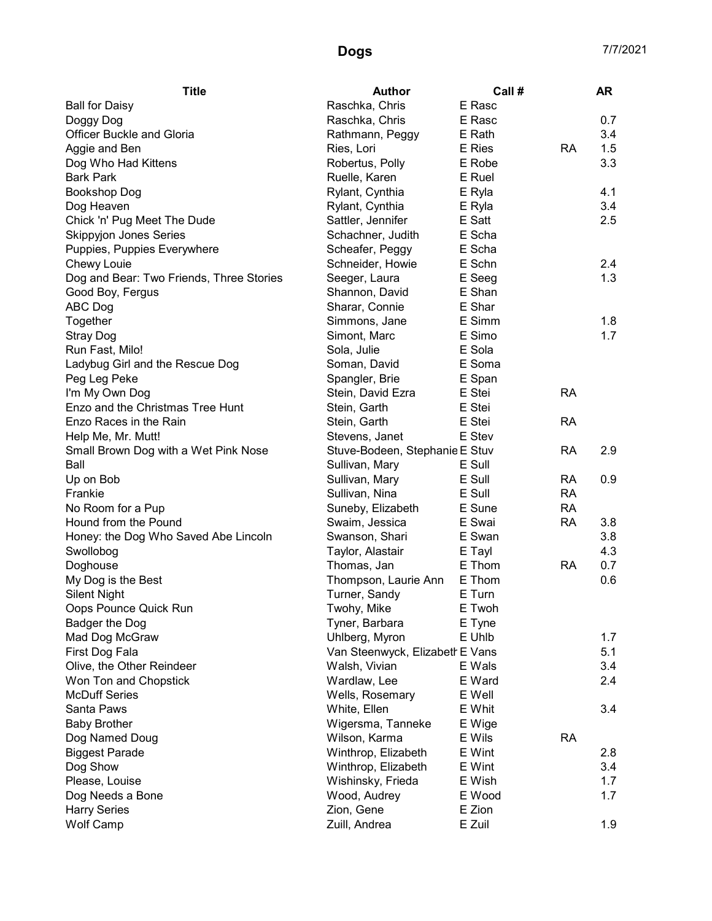| <b>Title</b>                             | <b>Author</b>                   | Call # |           | <b>AR</b> |
|------------------------------------------|---------------------------------|--------|-----------|-----------|
| <b>Ball for Daisy</b>                    | Raschka, Chris                  | E Rasc |           |           |
| Doggy Dog                                | Raschka, Chris                  | E Rasc |           | 0.7       |
| <b>Officer Buckle and Gloria</b>         | Rathmann, Peggy                 | E Rath |           | 3.4       |
| Aggie and Ben                            | Ries, Lori                      | E Ries | RA        | 1.5       |
| Dog Who Had Kittens                      | Robertus, Polly                 | E Robe |           | 3.3       |
| <b>Bark Park</b>                         | Ruelle, Karen                   | E Ruel |           |           |
| <b>Bookshop Dog</b>                      | Rylant, Cynthia                 | E Ryla |           | 4.1       |
| Dog Heaven                               | Rylant, Cynthia                 | E Ryla |           | 3.4       |
| Chick 'n' Pug Meet The Dude              | Sattler, Jennifer               | E Satt |           | 2.5       |
| <b>Skippyjon Jones Series</b>            | Schachner, Judith               | E Scha |           |           |
| Puppies, Puppies Everywhere              | Scheafer, Peggy                 | E Scha |           |           |
| Chewy Louie                              | Schneider, Howie                | E Schn |           | 2.4       |
| Dog and Bear: Two Friends, Three Stories | Seeger, Laura                   | E Seeg |           | 1.3       |
| Good Boy, Fergus                         | Shannon, David                  | E Shan |           |           |
| ABC Dog                                  | Sharar, Connie                  | E Shar |           |           |
| Together                                 | Simmons, Jane                   | E Simm |           | 1.8       |
| <b>Stray Dog</b>                         | Simont, Marc                    | E Simo |           | 1.7       |
| Run Fast, Milo!                          | Sola, Julie                     | E Sola |           |           |
| Ladybug Girl and the Rescue Dog          | Soman, David                    | E Soma |           |           |
| Peg Leg Peke                             | Spangler, Brie                  | E Span |           |           |
| I'm My Own Dog                           | Stein, David Ezra               | E Stei | <b>RA</b> |           |
| Enzo and the Christmas Tree Hunt         | Stein, Garth                    | E Stei |           |           |
| Enzo Races in the Rain                   | Stein, Garth                    | E Stei | <b>RA</b> |           |
| Help Me, Mr. Mutt!                       | Stevens, Janet                  | E Stev |           |           |
| Small Brown Dog with a Wet Pink Nose     | Stuve-Bodeen, Stephanie E Stuv  |        | <b>RA</b> | 2.9       |
| Ball                                     | Sullivan, Mary                  | E Sull |           |           |
| Up on Bob                                | Sullivan, Mary                  | E Sull | RA        | 0.9       |
| Frankie                                  | Sullivan, Nina                  | E Sull | <b>RA</b> |           |
| No Room for a Pup                        | Suneby, Elizabeth               | E Sune | <b>RA</b> |           |
| Hound from the Pound                     | Swaim, Jessica                  | E Swai | <b>RA</b> | 3.8       |
| Honey: the Dog Who Saved Abe Lincoln     | Swanson, Shari                  | E Swan |           | 3.8       |
| Swollobog                                | Taylor, Alastair                | E Tayl |           | 4.3       |
| Doghouse                                 | Thomas, Jan                     | E Thom | <b>RA</b> | 0.7       |
| My Dog is the Best                       | Thompson, Laurie Ann            | E Thom |           | 0.6       |
| <b>Silent Night</b>                      | Turner, Sandy                   | E Turn |           |           |
| Oops Pounce Quick Run                    | Twohy, Mike                     | E Twoh |           |           |
| Badger the Dog                           | Tyner, Barbara                  | E Tyne |           |           |
| Mad Dog McGraw                           | Uhlberg, Myron                  | E Uhlb |           | 1.7       |
| First Dog Fala                           | Van Steenwyck, Elizabeth E Vans |        |           | 5.1       |
| Olive, the Other Reindeer                | Walsh, Vivian                   | E Wals |           | 3.4       |
| Won Ton and Chopstick                    | Wardlaw, Lee                    | E Ward |           | 2.4       |
| <b>McDuff Series</b>                     | Wells, Rosemary                 | E Well |           |           |
| Santa Paws                               | White, Ellen                    | E Whit |           | 3.4       |
| <b>Baby Brother</b>                      | Wigersma, Tanneke               | E Wige |           |           |
| Dog Named Doug                           | Wilson, Karma                   | E Wils | <b>RA</b> |           |
| <b>Biggest Parade</b>                    | Winthrop, Elizabeth             | E Wint |           | 2.8       |
| Dog Show                                 | Winthrop, Elizabeth             | E Wint |           | 3.4       |
| Please, Louise                           | Wishinsky, Frieda               | E Wish |           | 1.7       |
| Dog Needs a Bone                         | Wood, Audrey                    | E Wood |           | 1.7       |
| <b>Harry Series</b>                      | Zion, Gene                      | E Zion |           |           |
| Wolf Camp                                | Zuill, Andrea                   | E Zuil |           | 1.9       |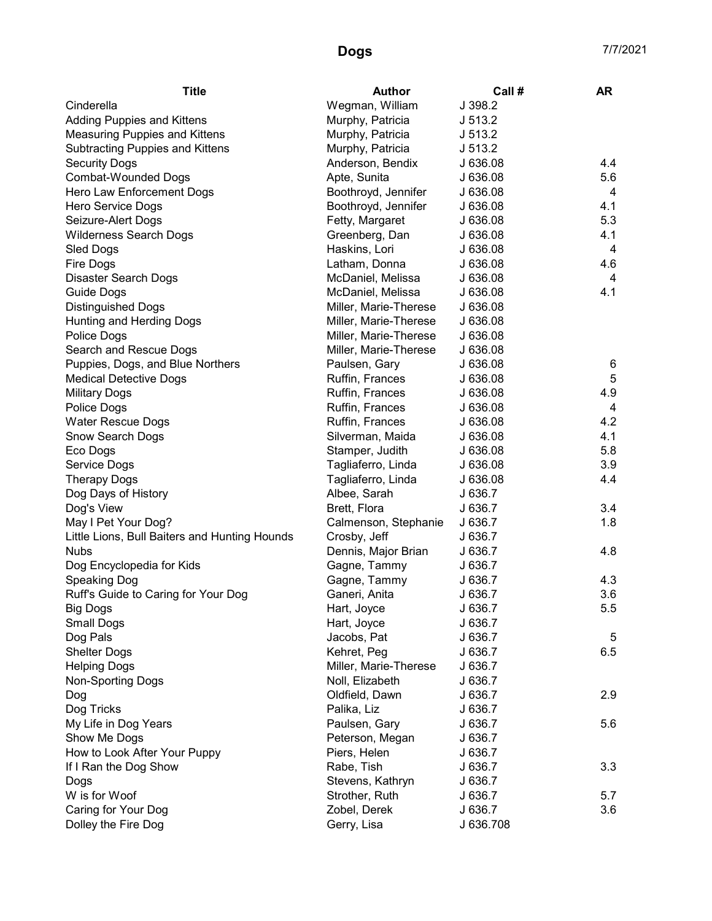| <b>Title</b>                                  | <b>Author</b>         | Call#     | AR  |
|-----------------------------------------------|-----------------------|-----------|-----|
| Cinderella                                    | Wegman, William       | J 398.2   |     |
| <b>Adding Puppies and Kittens</b>             | Murphy, Patricia      | J 513.2   |     |
| <b>Measuring Puppies and Kittens</b>          | Murphy, Patricia      | J 513.2   |     |
| <b>Subtracting Puppies and Kittens</b>        | Murphy, Patricia      | J 513.2   |     |
| <b>Security Dogs</b>                          | Anderson, Bendix      | J 636.08  | 4.4 |
| <b>Combat-Wounded Dogs</b>                    | Apte, Sunita          | J 636.08  | 5.6 |
| Hero Law Enforcement Dogs                     | Boothroyd, Jennifer   | J 636.08  | 4   |
| Hero Service Dogs                             | Boothroyd, Jennifer   | J 636.08  | 4.1 |
| Seizure-Alert Dogs                            | Fetty, Margaret       | J 636.08  | 5.3 |
| <b>Wilderness Search Dogs</b>                 | Greenberg, Dan        | J 636.08  | 4.1 |
| Sled Dogs                                     | Haskins, Lori         | J 636.08  | 4   |
| Fire Dogs                                     | Latham, Donna         | J 636.08  | 4.6 |
| <b>Disaster Search Dogs</b>                   | McDaniel, Melissa     | J 636.08  | 4   |
| <b>Guide Dogs</b>                             | McDaniel, Melissa     | J 636.08  | 4.1 |
| <b>Distinguished Dogs</b>                     | Miller, Marie-Therese | J 636.08  |     |
| Hunting and Herding Dogs                      | Miller, Marie-Therese | J 636.08  |     |
| Police Dogs                                   | Miller, Marie-Therese | J 636.08  |     |
| Search and Rescue Dogs                        | Miller, Marie-Therese | J 636.08  |     |
| Puppies, Dogs, and Blue Northers              | Paulsen, Gary         | J 636.08  | 6   |
| <b>Medical Detective Dogs</b>                 | Ruffin, Frances       | J 636.08  | 5   |
| <b>Military Dogs</b>                          | Ruffin, Frances       | J 636.08  | 4.9 |
| Police Dogs                                   | Ruffin, Frances       | J 636.08  | 4   |
| <b>Water Rescue Dogs</b>                      | Ruffin, Frances       | J 636.08  | 4.2 |
| Snow Search Dogs                              | Silverman, Maida      | J 636.08  | 4.1 |
| Eco Dogs                                      | Stamper, Judith       | J 636.08  | 5.8 |
| Service Dogs                                  | Tagliaferro, Linda    | J 636.08  | 3.9 |
| <b>Therapy Dogs</b>                           | Tagliaferro, Linda    | J 636.08  | 4.4 |
| Dog Days of History                           | Albee, Sarah          | J 636.7   |     |
| Dog's View                                    | Brett, Flora          | J 636.7   | 3.4 |
| May I Pet Your Dog?                           | Calmenson, Stephanie  | J 636.7   | 1.8 |
| Little Lions, Bull Baiters and Hunting Hounds | Crosby, Jeff          | J 636.7   |     |
| <b>Nubs</b>                                   | Dennis, Major Brian   | J636.7    | 4.8 |
| Dog Encyclopedia for Kids                     | Gagne, Tammy          | J 636.7   |     |
| Speaking Dog                                  | Gagne, Tammy          | J 636.7   | 4.3 |
| Ruff's Guide to Caring for Your Dog           | Ganeri, Anita         | J 636.7   | 3.6 |
| Big Dogs                                      | Hart, Joyce           | J 636.7   | 5.5 |
| <b>Small Dogs</b>                             | Hart, Joyce           | J 636.7   |     |
| Dog Pals                                      | Jacobs, Pat           | J 636.7   | 5   |
| <b>Shelter Dogs</b>                           | Kehret, Peg           | J 636.7   | 6.5 |
| <b>Helping Dogs</b>                           | Miller, Marie-Therese | J 636.7   |     |
| <b>Non-Sporting Dogs</b>                      | Noll, Elizabeth       | J 636.7   |     |
| Dog                                           | Oldfield, Dawn        | J 636.7   | 2.9 |
| Dog Tricks                                    | Palika, Liz           | J 636.7   |     |
| My Life in Dog Years                          | Paulsen, Gary         | J636.7    | 5.6 |
| Show Me Dogs                                  | Peterson, Megan       | J 636.7   |     |
| How to Look After Your Puppy                  | Piers, Helen          | J 636.7   |     |
| If I Ran the Dog Show                         | Rabe, Tish            | J 636.7   | 3.3 |
| Dogs                                          | Stevens, Kathryn      | J 636.7   |     |
| W is for Woof                                 | Strother, Ruth        | J 636.7   | 5.7 |
| Caring for Your Dog                           | Zobel, Derek          | J 636.7   | 3.6 |
| Dolley the Fire Dog                           | Gerry, Lisa           | J 636.708 |     |
|                                               |                       |           |     |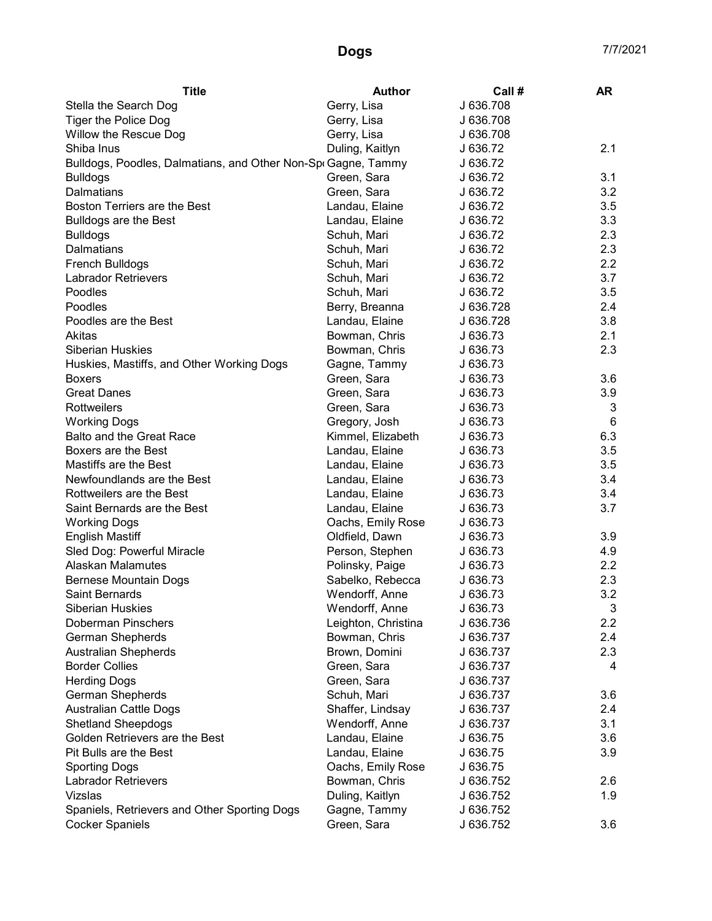| <b>Title</b>                                                  | <b>Author</b>       | Call #    | <b>AR</b> |
|---------------------------------------------------------------|---------------------|-----------|-----------|
| Stella the Search Dog                                         | Gerry, Lisa         | J 636.708 |           |
| <b>Tiger the Police Dog</b>                                   | Gerry, Lisa         | J 636.708 |           |
| Willow the Rescue Dog                                         | Gerry, Lisa         | J 636.708 |           |
| Shiba Inus                                                    | Duling, Kaitlyn     | J 636.72  | 2.1       |
| Bulldogs, Poodles, Dalmatians, and Other Non-Spr Gagne, Tammy |                     | J 636.72  |           |
| <b>Bulldogs</b>                                               | Green, Sara         | J 636.72  | 3.1       |
| Dalmatians                                                    | Green, Sara         | J 636.72  | 3.2       |
| Boston Terriers are the Best                                  | Landau, Elaine      | J 636.72  | 3.5       |
| <b>Bulldogs are the Best</b>                                  | Landau, Elaine      | J 636.72  | 3.3       |
| <b>Bulldogs</b>                                               | Schuh, Mari         | J 636.72  | 2.3       |
| Dalmatians                                                    | Schuh, Mari         | J 636.72  | 2.3       |
| French Bulldogs                                               | Schuh, Mari         | J 636.72  | 2.2       |
| <b>Labrador Retrievers</b>                                    | Schuh, Mari         | J 636.72  | 3.7       |
| Poodles                                                       | Schuh, Mari         | J 636.72  | 3.5       |
| Poodles                                                       | Berry, Breanna      | J 636.728 | 2.4       |
| Poodles are the Best                                          | Landau, Elaine      | J 636.728 | 3.8       |
| Akitas                                                        | Bowman, Chris       | J 636.73  | 2.1       |
| <b>Siberian Huskies</b>                                       | Bowman, Chris       | J 636.73  | 2.3       |
| Huskies, Mastiffs, and Other Working Dogs                     | Gagne, Tammy        | J 636.73  |           |
| <b>Boxers</b>                                                 | Green, Sara         | J 636.73  | 3.6       |
| <b>Great Danes</b>                                            | Green, Sara         | J 636.73  | 3.9       |
| <b>Rottweilers</b>                                            | Green, Sara         | J 636.73  | 3         |
| <b>Working Dogs</b>                                           | Gregory, Josh       | J 636.73  | 6         |
| <b>Balto and the Great Race</b>                               | Kimmel, Elizabeth   | J 636.73  | 6.3       |
| Boxers are the Best                                           | Landau, Elaine      | J 636.73  | 3.5       |
| Mastiffs are the Best                                         | Landau, Elaine      | J 636.73  | 3.5       |
| Newfoundlands are the Best                                    | Landau, Elaine      | J 636.73  | 3.4       |
| Rottweilers are the Best                                      | Landau, Elaine      | J 636.73  | 3.4       |
| Saint Bernards are the Best                                   | Landau, Elaine      | J 636.73  | 3.7       |
| <b>Working Dogs</b>                                           | Oachs, Emily Rose   | J 636.73  |           |
| <b>English Mastiff</b>                                        | Oldfield, Dawn      | J 636.73  | 3.9       |
| Sled Dog: Powerful Miracle                                    | Person, Stephen     | J 636.73  | 4.9       |
| Alaskan Malamutes                                             | Polinsky, Paige     | J 636.73  | 2.2       |
| <b>Bernese Mountain Dogs</b>                                  | Sabelko, Rebecca    | J 636.73  | 2.3       |
| <b>Saint Bernards</b>                                         | Wendorff, Anne      | J 636.73  | 3.2       |
| <b>Siberian Huskies</b>                                       | Wendorff, Anne      | J 636.73  | 3         |
| <b>Doberman Pinschers</b>                                     | Leighton, Christina | J 636.736 | 2.2       |
| German Shepherds                                              | Bowman, Chris       | J 636.737 | 2.4       |
| <b>Australian Shepherds</b>                                   | Brown, Domini       | J 636.737 | 2.3       |
| <b>Border Collies</b>                                         | Green, Sara         | J 636.737 | 4         |
| <b>Herding Dogs</b>                                           | Green, Sara         | J 636.737 |           |
| German Shepherds                                              | Schuh, Mari         | J 636.737 | 3.6       |
| <b>Australian Cattle Dogs</b>                                 | Shaffer, Lindsay    | J 636.737 | 2.4       |
| <b>Shetland Sheepdogs</b>                                     | Wendorff, Anne      | J 636.737 | 3.1       |
| Golden Retrievers are the Best                                | Landau, Elaine      | J 636.75  | 3.6       |
| Pit Bulls are the Best                                        | Landau, Elaine      | J 636.75  | 3.9       |
| <b>Sporting Dogs</b>                                          | Oachs, Emily Rose   | J 636.75  |           |
| <b>Labrador Retrievers</b>                                    | Bowman, Chris       | J 636.752 | 2.6       |
| Vizslas                                                       | Duling, Kaitlyn     | J 636.752 | 1.9       |
| Spaniels, Retrievers and Other Sporting Dogs                  | Gagne, Tammy        | J 636.752 |           |
| <b>Cocker Spaniels</b>                                        | Green, Sara         | J 636.752 | 3.6       |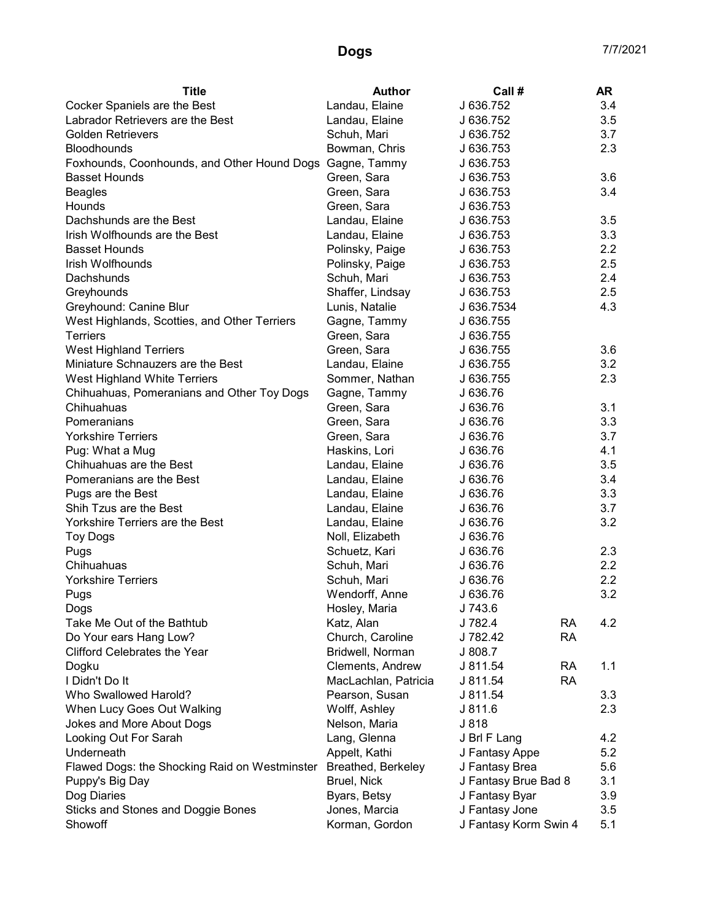| <b>Title</b>                                                  | <b>Author</b>        | Call #                |           | <b>AR</b>        |
|---------------------------------------------------------------|----------------------|-----------------------|-----------|------------------|
| Cocker Spaniels are the Best                                  | Landau, Elaine       | J 636.752             |           | 3.4              |
| Labrador Retrievers are the Best                              | Landau, Elaine       | J 636.752             |           | 3.5              |
| <b>Golden Retrievers</b>                                      | Schuh, Mari          | J 636.752             |           | 3.7              |
| Bloodhounds                                                   | Bowman, Chris        | J 636.753             |           | 2.3              |
| Foxhounds, Coonhounds, and Other Hound Dogs Gagne, Tammy      |                      | J 636.753             |           |                  |
| <b>Basset Hounds</b>                                          | Green, Sara          | J 636.753             |           | 3.6              |
| <b>Beagles</b>                                                | Green, Sara          | J 636.753             |           | 3.4              |
| Hounds                                                        | Green, Sara          | J 636.753             |           |                  |
| Dachshunds are the Best                                       | Landau, Elaine       | J 636.753             |           | 3.5              |
| Irish Wolfhounds are the Best                                 | Landau, Elaine       | J 636.753             |           | 3.3              |
| <b>Basset Hounds</b>                                          | Polinsky, Paige      | J 636.753             |           | 2.2              |
| Irish Wolfhounds                                              | Polinsky, Paige      | J 636.753             |           | 2.5              |
| Dachshunds                                                    | Schuh, Mari          | J 636.753             |           | 2.4              |
| Greyhounds                                                    | Shaffer, Lindsay     | J 636.753             |           | 2.5              |
| Greyhound: Canine Blur                                        | Lunis, Natalie       | J 636.7534            |           | 4.3              |
| West Highlands, Scotties, and Other Terriers                  | Gagne, Tammy         | J 636.755             |           |                  |
| <b>Terriers</b>                                               | Green, Sara          | J 636.755             |           |                  |
| <b>West Highland Terriers</b>                                 | Green, Sara          | J 636.755             |           | 3.6              |
| Miniature Schnauzers are the Best                             | Landau, Elaine       | J 636.755             |           | 3.2              |
| West Highland White Terriers                                  | Sommer, Nathan       | J 636.755             |           | 2.3              |
| Chihuahuas, Pomeranians and Other Toy Dogs                    | Gagne, Tammy         | J 636.76              |           |                  |
| Chihuahuas                                                    | Green, Sara          | J 636.76              |           | 3.1              |
| Pomeranians                                                   | Green, Sara          | J 636.76              |           | 3.3              |
| <b>Yorkshire Terriers</b>                                     | Green, Sara          | J 636.76              |           | 3.7              |
| Pug: What a Mug                                               | Haskins, Lori        | J 636.76              |           | 4.1              |
| Chihuahuas are the Best                                       | Landau, Elaine       | J 636.76              |           | 3.5              |
| Pomeranians are the Best                                      | Landau, Elaine       | J 636.76              |           | 3.4              |
| Pugs are the Best                                             | Landau, Elaine       | J 636.76              |           | 3.3              |
| Shih Tzus are the Best                                        | Landau, Elaine       | J 636.76              |           | 3.7              |
| Yorkshire Terriers are the Best                               | Landau, Elaine       | J 636.76              |           | 3.2              |
| <b>Toy Dogs</b>                                               | Noll, Elizabeth      | J 636.76              |           |                  |
| Pugs                                                          | Schuetz, Kari        | J 636.76              |           | 2.3              |
| Chihuahuas                                                    | Schuh, Mari          | J 636.76              |           | $2.2\phantom{0}$ |
| <b>Yorkshire Terriers</b>                                     | Schuh, Mari          | J 636.76              |           | $2.2\phantom{0}$ |
|                                                               | Wendorff, Anne       | J 636.76              |           | 3.2              |
| Pugs                                                          | Hosley, Maria        | J 743.6               |           |                  |
| Dogs<br>Take Me Out of the Bathtub                            | Katz, Alan           | J 782.4               | RA        | 4.2              |
|                                                               |                      | J 782.42              | <b>RA</b> |                  |
| Do Your ears Hang Low?<br><b>Clifford Celebrates the Year</b> | Church, Caroline     |                       |           |                  |
|                                                               | Bridwell, Norman     | J 808.7               |           |                  |
| Dogku                                                         | Clements, Andrew     | J 811.54              | RA        | 1.1              |
| I Didn't Do It                                                | MacLachlan, Patricia | J 811.54              | <b>RA</b> |                  |
| Who Swallowed Harold?                                         | Pearson, Susan       | J 811.54              |           | 3.3              |
| When Lucy Goes Out Walking                                    | Wolff, Ashley        | J 811.6               |           | 2.3              |
| Jokes and More About Dogs                                     | Nelson, Maria        | J 818                 |           |                  |
| Looking Out For Sarah                                         | Lang, Glenna         | J Brl F Lang          |           | 4.2              |
| Underneath                                                    | Appelt, Kathi        | J Fantasy Appe        |           | 5.2              |
| Flawed Dogs: the Shocking Raid on Westminster                 | Breathed, Berkeley   | J Fantasy Brea        |           | 5.6              |
| Puppy's Big Day                                               | Bruel, Nick          | J Fantasy Brue Bad 8  |           | 3.1              |
| Dog Diaries                                                   | Byars, Betsy         | J Fantasy Byar        |           | 3.9              |
| Sticks and Stones and Doggie Bones                            | Jones, Marcia        | J Fantasy Jone        |           | 3.5              |
| Showoff                                                       | Korman, Gordon       | J Fantasy Korm Swin 4 |           | 5.1              |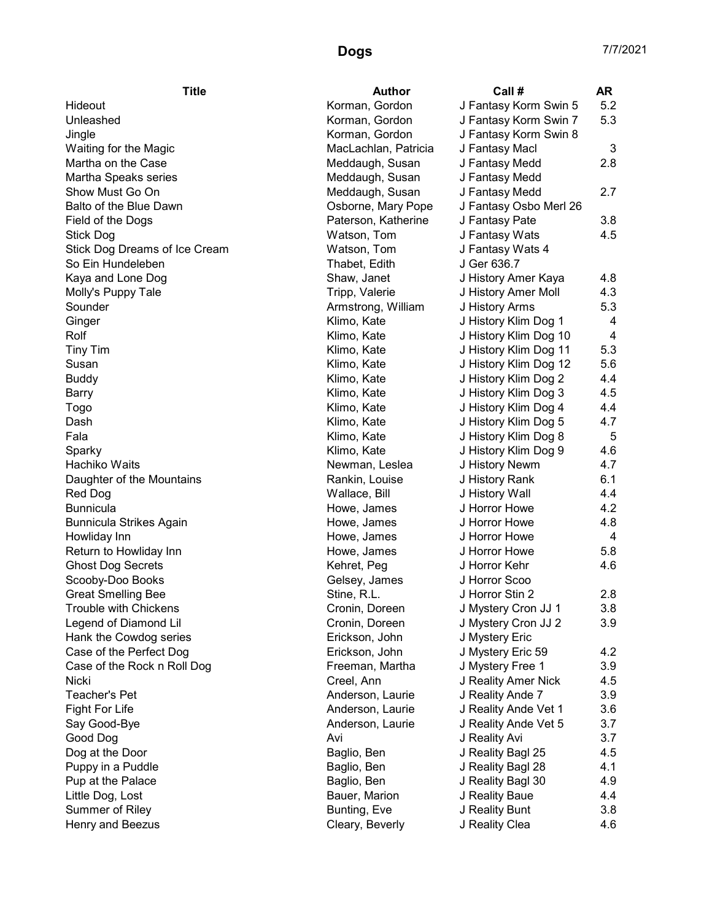| <b>Title</b>                  | <b>Author</b>        | Call#                  | <b>AR</b> |
|-------------------------------|----------------------|------------------------|-----------|
| Hideout                       | Korman, Gordon       | J Fantasy Korm Swin 5  | 5.2       |
| Unleashed                     | Korman, Gordon       | J Fantasy Korm Swin 7  | 5.3       |
| Jingle                        | Korman, Gordon       | J Fantasy Korm Swin 8  |           |
| Waiting for the Magic         | MacLachlan, Patricia | J Fantasy Macl         | 3         |
| Martha on the Case            | Meddaugh, Susan      | J Fantasy Medd         | 2.8       |
| Martha Speaks series          | Meddaugh, Susan      | J Fantasy Medd         |           |
| Show Must Go On               | Meddaugh, Susan      | J Fantasy Medd         | 2.7       |
| Balto of the Blue Dawn        | Osborne, Mary Pope   | J Fantasy Osbo Merl 26 |           |
| Field of the Dogs             | Paterson, Katherine  | J Fantasy Pate         | 3.8       |
| Stick Dog                     | Watson, Tom          | J Fantasy Wats         | 4.5       |
| Stick Dog Dreams of Ice Cream | Watson, Tom          | J Fantasy Wats 4       |           |
| So Ein Hundeleben             | Thabet, Edith        | J Ger 636.7            |           |
| Kaya and Lone Dog             | Shaw, Janet          | J History Amer Kaya    | 4.8       |
| Molly's Puppy Tale            | Tripp, Valerie       | J History Amer Moll    | 4.3       |
| Sounder                       | Armstrong, William   | J History Arms         | 5.3       |
|                               | Klimo, Kate          |                        | 4         |
| Ginger<br>Rolf                |                      | J History Klim Dog 1   | 4         |
|                               | Klimo, Kate          | J History Klim Dog 10  |           |
| <b>Tiny Tim</b>               | Klimo, Kate          | J History Klim Dog 11  | 5.3       |
| Susan                         | Klimo, Kate          | J History Klim Dog 12  | 5.6       |
| <b>Buddy</b>                  | Klimo, Kate          | J History Klim Dog 2   | 4.4       |
| Barry                         | Klimo, Kate          | J History Klim Dog 3   | 4.5       |
| Togo                          | Klimo, Kate          | J History Klim Dog 4   | 4.4       |
| Dash                          | Klimo, Kate          | J History Klim Dog 5   | 4.7       |
| Fala                          | Klimo, Kate          | J History Klim Dog 8   | 5         |
| Sparky                        | Klimo, Kate          | J History Klim Dog 9   | 4.6       |
| Hachiko Waits                 | Newman, Leslea       | J History Newm         | 4.7       |
| Daughter of the Mountains     | Rankin, Louise       | J History Rank         | 6.1       |
| Red Dog                       | Wallace, Bill        | J History Wall         | 4.4       |
| <b>Bunnicula</b>              | Howe, James          | J Horror Howe          | 4.2       |
| Bunnicula Strikes Again       | Howe, James          | J Horror Howe          | 4.8       |
| Howliday Inn                  | Howe, James          | J Horror Howe          | 4         |
| Return to Howliday Inn        | Howe, James          | J Horror Howe          | 5.8       |
| <b>Ghost Dog Secrets</b>      | Kehret, Peg          | J Horror Kehr          | 4.6       |
| Scooby-Doo Books              | Gelsey, James        | J Horror Scoo          |           |
| <b>Great Smelling Bee</b>     | Stine, R.L.          | J Horror Stin 2        | 2.8       |
| Trouble with Chickens         | Cronin, Doreen       | J Mystery Cron JJ 1    | 3.8       |
| Legend of Diamond Lil         | Cronin, Doreen       | J Mystery Cron JJ 2    | 3.9       |
| Hank the Cowdog series        | Erickson, John       | J Mystery Eric         |           |
| Case of the Perfect Dog       | Erickson, John       | J Mystery Eric 59      | 4.2       |
| Case of the Rock n Roll Dog   | Freeman, Martha      | J Mystery Free 1       | 3.9       |
| Nicki                         | Creel, Ann           | J Reality Amer Nick    | 4.5       |
| <b>Teacher's Pet</b>          | Anderson, Laurie     | J Reality Ande 7       | 3.9       |
| Fight For Life                | Anderson, Laurie     | J Reality Ande Vet 1   | 3.6       |
| Say Good-Bye                  | Anderson, Laurie     | J Reality Ande Vet 5   | 3.7       |
| Good Dog                      | Avi                  | J Reality Avi          | 3.7       |
| Dog at the Door               | Baglio, Ben          | J Reality Bagl 25      | 4.5       |
| Puppy in a Puddle             | Baglio, Ben          | J Reality Bagl 28      | 4.1       |
| Pup at the Palace             | Baglio, Ben          | J Reality Bagl 30      | 4.9       |
| Little Dog, Lost              | Bauer, Marion        | J Reality Baue         | 4.4       |
| Summer of Riley               | Bunting, Eve         | J Reality Bunt         | 3.8       |
| Henry and Beezus              | Cleary, Beverly      | J Reality Clea         | 4.6       |
|                               |                      |                        |           |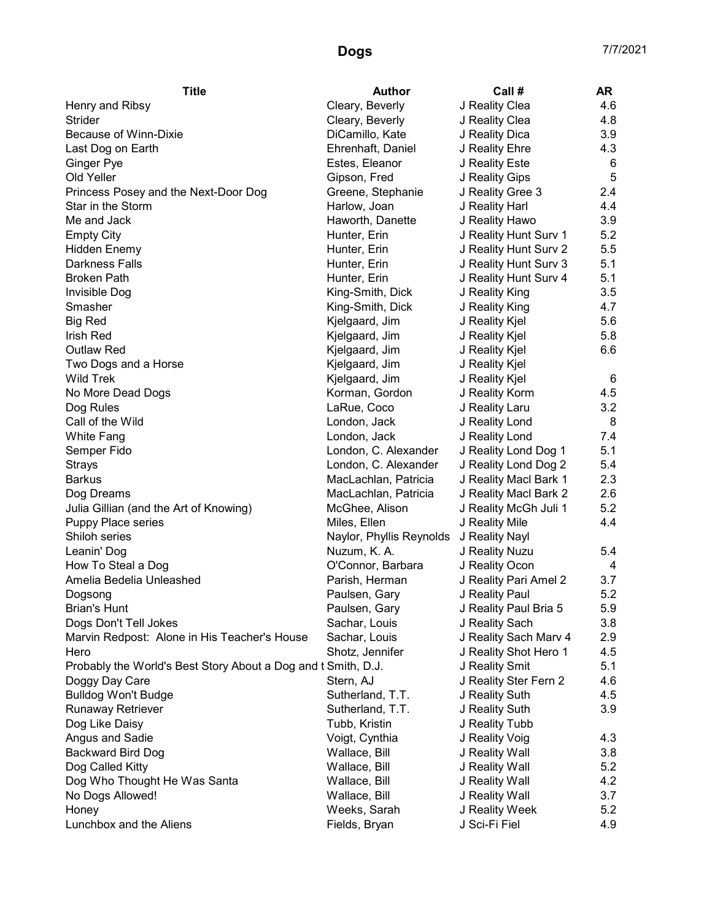| Cleary, Beverly<br>J Reality Clea<br>4.6<br>Cleary, Beverly<br>4.8<br><b>Strider</b><br>J Reality Clea<br>Because of Winn-Dixie<br>DiCamillo, Kate<br>J Reality Dica<br>3.9<br>Ehrenhaft, Daniel<br>J Reality Ehre<br>4.3<br>Estes, Eleanor<br>J Reality Este<br>6<br>Ginger Pye<br>5<br>Old Yeller<br>Gipson, Fred<br>J Reality Gips<br>J Reality Gree 3<br>Princess Posey and the Next-Door Dog<br>Greene, Stephanie<br>2.4<br>Star in the Storm<br>Harlow, Joan<br>J Reality Harl<br>4.4<br>Me and Jack<br>3.9<br>Haworth, Danette<br>J Reality Hawo<br>5.2<br><b>Empty City</b><br>Hunter, Erin<br>J Reality Hunt Surv 1<br>5.5<br><b>Hidden Enemy</b><br>Hunter, Erin<br>J Reality Hunt Surv 2<br>5.1<br><b>Darkness Falls</b><br>J Reality Hunt Surv 3<br>Hunter, Erin<br>5.1<br><b>Broken Path</b><br>Hunter, Erin<br>J Reality Hunt Surv 4<br>3.5<br>Invisible Dog<br>King-Smith, Dick<br>J Reality King<br>4.7<br>Smasher<br>King-Smith, Dick<br>J Reality King<br>5.6<br><b>Big Red</b><br>Kjelgaard, Jim<br>J Reality Kjel<br><b>Irish Red</b><br>5.8<br>Kjelgaard, Jim<br>J Reality Kjel<br>6.6<br><b>Outlaw Red</b><br>Kjelgaard, Jim<br>J Reality Kjel<br>Two Dogs and a Horse<br>Kjelgaard, Jim<br>J Reality Kjel<br><b>Wild Trek</b><br>6<br>Kjelgaard, Jim<br>J Reality Kjel<br>4.5<br>No More Dead Dogs<br>Korman, Gordon<br>J Reality Korm<br>3.2<br>LaRue, Coco<br>J Reality Laru<br>Dog Rules<br>Call of the Wild<br>London, Jack<br>J Reality Lond<br>8<br>J Reality Lond<br>7.4<br>White Fang<br>London, Jack<br>5.1<br>London, C. Alexander<br>J Reality Lond Dog 1<br>Semper Fido<br>London, C. Alexander<br>J Reality Lond Dog 2<br>5.4<br>Strays<br>2.3<br><b>Barkus</b><br>MacLachlan, Patricia<br>J Reality Macl Bark 1<br>2.6<br>Dog Dreams<br>MacLachlan, Patricia<br>J Reality Macl Bark 2<br>5.2<br>Julia Gillian (and the Art of Knowing)<br>McGhee, Alison<br>J Reality McGh Juli 1<br>4.4<br>Puppy Place series<br>Miles, Ellen<br>J Reality Mile<br>Shiloh series<br>Naylor, Phyllis Reynolds<br>J Reality Nayl<br>Leanin' Dog<br>Nuzum, K. A.<br>J Reality Nuzu<br>5.4<br>How To Steal a Dog<br>O'Connor, Barbara<br>J Reality Ocon<br>4<br>Parish, Herman<br>J Reality Pari Amel 2<br>Amelia Bedelia Unleashed<br>3.7<br>5.2<br>J Reality Paul<br>Paulsen, Gary<br>Dogsong<br>J Reality Paul Bria 5<br>5.9<br><b>Brian's Hunt</b><br>Paulsen, Gary<br>J Reality Sach<br>3.8<br>Dogs Don't Tell Jokes<br>Sachar, Louis<br>Marvin Redpost: Alone in His Teacher's House<br>Sachar, Louis<br>J Reality Sach Marv 4<br>2.9 | <b>Title</b>      | <b>Author</b> | Call # | AR |
|---------------------------------------------------------------------------------------------------------------------------------------------------------------------------------------------------------------------------------------------------------------------------------------------------------------------------------------------------------------------------------------------------------------------------------------------------------------------------------------------------------------------------------------------------------------------------------------------------------------------------------------------------------------------------------------------------------------------------------------------------------------------------------------------------------------------------------------------------------------------------------------------------------------------------------------------------------------------------------------------------------------------------------------------------------------------------------------------------------------------------------------------------------------------------------------------------------------------------------------------------------------------------------------------------------------------------------------------------------------------------------------------------------------------------------------------------------------------------------------------------------------------------------------------------------------------------------------------------------------------------------------------------------------------------------------------------------------------------------------------------------------------------------------------------------------------------------------------------------------------------------------------------------------------------------------------------------------------------------------------------------------------------------------------------------------------------------------------------------------------------------------------------------------------------------------------------------------------------------------------------------------------------------------------------------------------------------------------------------------------------------------------------------------------------------------------------------------------------------------------------------------------------------------------------------------|-------------------|---------------|--------|----|
|                                                                                                                                                                                                                                                                                                                                                                                                                                                                                                                                                                                                                                                                                                                                                                                                                                                                                                                                                                                                                                                                                                                                                                                                                                                                                                                                                                                                                                                                                                                                                                                                                                                                                                                                                                                                                                                                                                                                                                                                                                                                                                                                                                                                                                                                                                                                                                                                                                                                                                                                                               | Henry and Ribsy   |               |        |    |
|                                                                                                                                                                                                                                                                                                                                                                                                                                                                                                                                                                                                                                                                                                                                                                                                                                                                                                                                                                                                                                                                                                                                                                                                                                                                                                                                                                                                                                                                                                                                                                                                                                                                                                                                                                                                                                                                                                                                                                                                                                                                                                                                                                                                                                                                                                                                                                                                                                                                                                                                                               |                   |               |        |    |
|                                                                                                                                                                                                                                                                                                                                                                                                                                                                                                                                                                                                                                                                                                                                                                                                                                                                                                                                                                                                                                                                                                                                                                                                                                                                                                                                                                                                                                                                                                                                                                                                                                                                                                                                                                                                                                                                                                                                                                                                                                                                                                                                                                                                                                                                                                                                                                                                                                                                                                                                                               |                   |               |        |    |
|                                                                                                                                                                                                                                                                                                                                                                                                                                                                                                                                                                                                                                                                                                                                                                                                                                                                                                                                                                                                                                                                                                                                                                                                                                                                                                                                                                                                                                                                                                                                                                                                                                                                                                                                                                                                                                                                                                                                                                                                                                                                                                                                                                                                                                                                                                                                                                                                                                                                                                                                                               | Last Dog on Earth |               |        |    |
|                                                                                                                                                                                                                                                                                                                                                                                                                                                                                                                                                                                                                                                                                                                                                                                                                                                                                                                                                                                                                                                                                                                                                                                                                                                                                                                                                                                                                                                                                                                                                                                                                                                                                                                                                                                                                                                                                                                                                                                                                                                                                                                                                                                                                                                                                                                                                                                                                                                                                                                                                               |                   |               |        |    |
|                                                                                                                                                                                                                                                                                                                                                                                                                                                                                                                                                                                                                                                                                                                                                                                                                                                                                                                                                                                                                                                                                                                                                                                                                                                                                                                                                                                                                                                                                                                                                                                                                                                                                                                                                                                                                                                                                                                                                                                                                                                                                                                                                                                                                                                                                                                                                                                                                                                                                                                                                               |                   |               |        |    |
|                                                                                                                                                                                                                                                                                                                                                                                                                                                                                                                                                                                                                                                                                                                                                                                                                                                                                                                                                                                                                                                                                                                                                                                                                                                                                                                                                                                                                                                                                                                                                                                                                                                                                                                                                                                                                                                                                                                                                                                                                                                                                                                                                                                                                                                                                                                                                                                                                                                                                                                                                               |                   |               |        |    |
|                                                                                                                                                                                                                                                                                                                                                                                                                                                                                                                                                                                                                                                                                                                                                                                                                                                                                                                                                                                                                                                                                                                                                                                                                                                                                                                                                                                                                                                                                                                                                                                                                                                                                                                                                                                                                                                                                                                                                                                                                                                                                                                                                                                                                                                                                                                                                                                                                                                                                                                                                               |                   |               |        |    |
|                                                                                                                                                                                                                                                                                                                                                                                                                                                                                                                                                                                                                                                                                                                                                                                                                                                                                                                                                                                                                                                                                                                                                                                                                                                                                                                                                                                                                                                                                                                                                                                                                                                                                                                                                                                                                                                                                                                                                                                                                                                                                                                                                                                                                                                                                                                                                                                                                                                                                                                                                               |                   |               |        |    |
|                                                                                                                                                                                                                                                                                                                                                                                                                                                                                                                                                                                                                                                                                                                                                                                                                                                                                                                                                                                                                                                                                                                                                                                                                                                                                                                                                                                                                                                                                                                                                                                                                                                                                                                                                                                                                                                                                                                                                                                                                                                                                                                                                                                                                                                                                                                                                                                                                                                                                                                                                               |                   |               |        |    |
|                                                                                                                                                                                                                                                                                                                                                                                                                                                                                                                                                                                                                                                                                                                                                                                                                                                                                                                                                                                                                                                                                                                                                                                                                                                                                                                                                                                                                                                                                                                                                                                                                                                                                                                                                                                                                                                                                                                                                                                                                                                                                                                                                                                                                                                                                                                                                                                                                                                                                                                                                               |                   |               |        |    |
|                                                                                                                                                                                                                                                                                                                                                                                                                                                                                                                                                                                                                                                                                                                                                                                                                                                                                                                                                                                                                                                                                                                                                                                                                                                                                                                                                                                                                                                                                                                                                                                                                                                                                                                                                                                                                                                                                                                                                                                                                                                                                                                                                                                                                                                                                                                                                                                                                                                                                                                                                               |                   |               |        |    |
|                                                                                                                                                                                                                                                                                                                                                                                                                                                                                                                                                                                                                                                                                                                                                                                                                                                                                                                                                                                                                                                                                                                                                                                                                                                                                                                                                                                                                                                                                                                                                                                                                                                                                                                                                                                                                                                                                                                                                                                                                                                                                                                                                                                                                                                                                                                                                                                                                                                                                                                                                               |                   |               |        |    |
|                                                                                                                                                                                                                                                                                                                                                                                                                                                                                                                                                                                                                                                                                                                                                                                                                                                                                                                                                                                                                                                                                                                                                                                                                                                                                                                                                                                                                                                                                                                                                                                                                                                                                                                                                                                                                                                                                                                                                                                                                                                                                                                                                                                                                                                                                                                                                                                                                                                                                                                                                               |                   |               |        |    |
|                                                                                                                                                                                                                                                                                                                                                                                                                                                                                                                                                                                                                                                                                                                                                                                                                                                                                                                                                                                                                                                                                                                                                                                                                                                                                                                                                                                                                                                                                                                                                                                                                                                                                                                                                                                                                                                                                                                                                                                                                                                                                                                                                                                                                                                                                                                                                                                                                                                                                                                                                               |                   |               |        |    |
|                                                                                                                                                                                                                                                                                                                                                                                                                                                                                                                                                                                                                                                                                                                                                                                                                                                                                                                                                                                                                                                                                                                                                                                                                                                                                                                                                                                                                                                                                                                                                                                                                                                                                                                                                                                                                                                                                                                                                                                                                                                                                                                                                                                                                                                                                                                                                                                                                                                                                                                                                               |                   |               |        |    |
|                                                                                                                                                                                                                                                                                                                                                                                                                                                                                                                                                                                                                                                                                                                                                                                                                                                                                                                                                                                                                                                                                                                                                                                                                                                                                                                                                                                                                                                                                                                                                                                                                                                                                                                                                                                                                                                                                                                                                                                                                                                                                                                                                                                                                                                                                                                                                                                                                                                                                                                                                               |                   |               |        |    |
|                                                                                                                                                                                                                                                                                                                                                                                                                                                                                                                                                                                                                                                                                                                                                                                                                                                                                                                                                                                                                                                                                                                                                                                                                                                                                                                                                                                                                                                                                                                                                                                                                                                                                                                                                                                                                                                                                                                                                                                                                                                                                                                                                                                                                                                                                                                                                                                                                                                                                                                                                               |                   |               |        |    |
|                                                                                                                                                                                                                                                                                                                                                                                                                                                                                                                                                                                                                                                                                                                                                                                                                                                                                                                                                                                                                                                                                                                                                                                                                                                                                                                                                                                                                                                                                                                                                                                                                                                                                                                                                                                                                                                                                                                                                                                                                                                                                                                                                                                                                                                                                                                                                                                                                                                                                                                                                               |                   |               |        |    |
|                                                                                                                                                                                                                                                                                                                                                                                                                                                                                                                                                                                                                                                                                                                                                                                                                                                                                                                                                                                                                                                                                                                                                                                                                                                                                                                                                                                                                                                                                                                                                                                                                                                                                                                                                                                                                                                                                                                                                                                                                                                                                                                                                                                                                                                                                                                                                                                                                                                                                                                                                               |                   |               |        |    |
|                                                                                                                                                                                                                                                                                                                                                                                                                                                                                                                                                                                                                                                                                                                                                                                                                                                                                                                                                                                                                                                                                                                                                                                                                                                                                                                                                                                                                                                                                                                                                                                                                                                                                                                                                                                                                                                                                                                                                                                                                                                                                                                                                                                                                                                                                                                                                                                                                                                                                                                                                               |                   |               |        |    |
|                                                                                                                                                                                                                                                                                                                                                                                                                                                                                                                                                                                                                                                                                                                                                                                                                                                                                                                                                                                                                                                                                                                                                                                                                                                                                                                                                                                                                                                                                                                                                                                                                                                                                                                                                                                                                                                                                                                                                                                                                                                                                                                                                                                                                                                                                                                                                                                                                                                                                                                                                               |                   |               |        |    |
|                                                                                                                                                                                                                                                                                                                                                                                                                                                                                                                                                                                                                                                                                                                                                                                                                                                                                                                                                                                                                                                                                                                                                                                                                                                                                                                                                                                                                                                                                                                                                                                                                                                                                                                                                                                                                                                                                                                                                                                                                                                                                                                                                                                                                                                                                                                                                                                                                                                                                                                                                               |                   |               |        |    |
|                                                                                                                                                                                                                                                                                                                                                                                                                                                                                                                                                                                                                                                                                                                                                                                                                                                                                                                                                                                                                                                                                                                                                                                                                                                                                                                                                                                                                                                                                                                                                                                                                                                                                                                                                                                                                                                                                                                                                                                                                                                                                                                                                                                                                                                                                                                                                                                                                                                                                                                                                               |                   |               |        |    |
|                                                                                                                                                                                                                                                                                                                                                                                                                                                                                                                                                                                                                                                                                                                                                                                                                                                                                                                                                                                                                                                                                                                                                                                                                                                                                                                                                                                                                                                                                                                                                                                                                                                                                                                                                                                                                                                                                                                                                                                                                                                                                                                                                                                                                                                                                                                                                                                                                                                                                                                                                               |                   |               |        |    |
|                                                                                                                                                                                                                                                                                                                                                                                                                                                                                                                                                                                                                                                                                                                                                                                                                                                                                                                                                                                                                                                                                                                                                                                                                                                                                                                                                                                                                                                                                                                                                                                                                                                                                                                                                                                                                                                                                                                                                                                                                                                                                                                                                                                                                                                                                                                                                                                                                                                                                                                                                               |                   |               |        |    |
|                                                                                                                                                                                                                                                                                                                                                                                                                                                                                                                                                                                                                                                                                                                                                                                                                                                                                                                                                                                                                                                                                                                                                                                                                                                                                                                                                                                                                                                                                                                                                                                                                                                                                                                                                                                                                                                                                                                                                                                                                                                                                                                                                                                                                                                                                                                                                                                                                                                                                                                                                               |                   |               |        |    |
|                                                                                                                                                                                                                                                                                                                                                                                                                                                                                                                                                                                                                                                                                                                                                                                                                                                                                                                                                                                                                                                                                                                                                                                                                                                                                                                                                                                                                                                                                                                                                                                                                                                                                                                                                                                                                                                                                                                                                                                                                                                                                                                                                                                                                                                                                                                                                                                                                                                                                                                                                               |                   |               |        |    |
|                                                                                                                                                                                                                                                                                                                                                                                                                                                                                                                                                                                                                                                                                                                                                                                                                                                                                                                                                                                                                                                                                                                                                                                                                                                                                                                                                                                                                                                                                                                                                                                                                                                                                                                                                                                                                                                                                                                                                                                                                                                                                                                                                                                                                                                                                                                                                                                                                                                                                                                                                               |                   |               |        |    |
|                                                                                                                                                                                                                                                                                                                                                                                                                                                                                                                                                                                                                                                                                                                                                                                                                                                                                                                                                                                                                                                                                                                                                                                                                                                                                                                                                                                                                                                                                                                                                                                                                                                                                                                                                                                                                                                                                                                                                                                                                                                                                                                                                                                                                                                                                                                                                                                                                                                                                                                                                               |                   |               |        |    |
|                                                                                                                                                                                                                                                                                                                                                                                                                                                                                                                                                                                                                                                                                                                                                                                                                                                                                                                                                                                                                                                                                                                                                                                                                                                                                                                                                                                                                                                                                                                                                                                                                                                                                                                                                                                                                                                                                                                                                                                                                                                                                                                                                                                                                                                                                                                                                                                                                                                                                                                                                               |                   |               |        |    |
|                                                                                                                                                                                                                                                                                                                                                                                                                                                                                                                                                                                                                                                                                                                                                                                                                                                                                                                                                                                                                                                                                                                                                                                                                                                                                                                                                                                                                                                                                                                                                                                                                                                                                                                                                                                                                                                                                                                                                                                                                                                                                                                                                                                                                                                                                                                                                                                                                                                                                                                                                               |                   |               |        |    |
|                                                                                                                                                                                                                                                                                                                                                                                                                                                                                                                                                                                                                                                                                                                                                                                                                                                                                                                                                                                                                                                                                                                                                                                                                                                                                                                                                                                                                                                                                                                                                                                                                                                                                                                                                                                                                                                                                                                                                                                                                                                                                                                                                                                                                                                                                                                                                                                                                                                                                                                                                               |                   |               |        |    |
|                                                                                                                                                                                                                                                                                                                                                                                                                                                                                                                                                                                                                                                                                                                                                                                                                                                                                                                                                                                                                                                                                                                                                                                                                                                                                                                                                                                                                                                                                                                                                                                                                                                                                                                                                                                                                                                                                                                                                                                                                                                                                                                                                                                                                                                                                                                                                                                                                                                                                                                                                               |                   |               |        |    |
|                                                                                                                                                                                                                                                                                                                                                                                                                                                                                                                                                                                                                                                                                                                                                                                                                                                                                                                                                                                                                                                                                                                                                                                                                                                                                                                                                                                                                                                                                                                                                                                                                                                                                                                                                                                                                                                                                                                                                                                                                                                                                                                                                                                                                                                                                                                                                                                                                                                                                                                                                               |                   |               |        |    |
|                                                                                                                                                                                                                                                                                                                                                                                                                                                                                                                                                                                                                                                                                                                                                                                                                                                                                                                                                                                                                                                                                                                                                                                                                                                                                                                                                                                                                                                                                                                                                                                                                                                                                                                                                                                                                                                                                                                                                                                                                                                                                                                                                                                                                                                                                                                                                                                                                                                                                                                                                               |                   |               |        |    |
|                                                                                                                                                                                                                                                                                                                                                                                                                                                                                                                                                                                                                                                                                                                                                                                                                                                                                                                                                                                                                                                                                                                                                                                                                                                                                                                                                                                                                                                                                                                                                                                                                                                                                                                                                                                                                                                                                                                                                                                                                                                                                                                                                                                                                                                                                                                                                                                                                                                                                                                                                               |                   |               |        |    |
|                                                                                                                                                                                                                                                                                                                                                                                                                                                                                                                                                                                                                                                                                                                                                                                                                                                                                                                                                                                                                                                                                                                                                                                                                                                                                                                                                                                                                                                                                                                                                                                                                                                                                                                                                                                                                                                                                                                                                                                                                                                                                                                                                                                                                                                                                                                                                                                                                                                                                                                                                               |                   |               |        |    |
|                                                                                                                                                                                                                                                                                                                                                                                                                                                                                                                                                                                                                                                                                                                                                                                                                                                                                                                                                                                                                                                                                                                                                                                                                                                                                                                                                                                                                                                                                                                                                                                                                                                                                                                                                                                                                                                                                                                                                                                                                                                                                                                                                                                                                                                                                                                                                                                                                                                                                                                                                               |                   |               |        |    |
| Shotz, Jennifer<br>J Reality Shot Hero 1<br>4.5<br>Hero                                                                                                                                                                                                                                                                                                                                                                                                                                                                                                                                                                                                                                                                                                                                                                                                                                                                                                                                                                                                                                                                                                                                                                                                                                                                                                                                                                                                                                                                                                                                                                                                                                                                                                                                                                                                                                                                                                                                                                                                                                                                                                                                                                                                                                                                                                                                                                                                                                                                                                       |                   |               |        |    |
| Probably the World's Best Story About a Dog and t Smith, D.J.<br>J Reality Smit<br>5.1                                                                                                                                                                                                                                                                                                                                                                                                                                                                                                                                                                                                                                                                                                                                                                                                                                                                                                                                                                                                                                                                                                                                                                                                                                                                                                                                                                                                                                                                                                                                                                                                                                                                                                                                                                                                                                                                                                                                                                                                                                                                                                                                                                                                                                                                                                                                                                                                                                                                        |                   |               |        |    |
| Stern, AJ<br>J Reality Ster Fern 2<br>4.6<br>Doggy Day Care                                                                                                                                                                                                                                                                                                                                                                                                                                                                                                                                                                                                                                                                                                                                                                                                                                                                                                                                                                                                                                                                                                                                                                                                                                                                                                                                                                                                                                                                                                                                                                                                                                                                                                                                                                                                                                                                                                                                                                                                                                                                                                                                                                                                                                                                                                                                                                                                                                                                                                   |                   |               |        |    |
| J Reality Suth<br>4.5<br><b>Bulldog Won't Budge</b><br>Sutherland, T.T.                                                                                                                                                                                                                                                                                                                                                                                                                                                                                                                                                                                                                                                                                                                                                                                                                                                                                                                                                                                                                                                                                                                                                                                                                                                                                                                                                                                                                                                                                                                                                                                                                                                                                                                                                                                                                                                                                                                                                                                                                                                                                                                                                                                                                                                                                                                                                                                                                                                                                       |                   |               |        |    |
| <b>Runaway Retriever</b><br>J Reality Suth<br>3.9<br>Sutherland, T.T.                                                                                                                                                                                                                                                                                                                                                                                                                                                                                                                                                                                                                                                                                                                                                                                                                                                                                                                                                                                                                                                                                                                                                                                                                                                                                                                                                                                                                                                                                                                                                                                                                                                                                                                                                                                                                                                                                                                                                                                                                                                                                                                                                                                                                                                                                                                                                                                                                                                                                         |                   |               |        |    |
| Dog Like Daisy<br>Tubb, Kristin<br>J Reality Tubb                                                                                                                                                                                                                                                                                                                                                                                                                                                                                                                                                                                                                                                                                                                                                                                                                                                                                                                                                                                                                                                                                                                                                                                                                                                                                                                                                                                                                                                                                                                                                                                                                                                                                                                                                                                                                                                                                                                                                                                                                                                                                                                                                                                                                                                                                                                                                                                                                                                                                                             |                   |               |        |    |
| Voigt, Cynthia<br>J Reality Voig<br>4.3                                                                                                                                                                                                                                                                                                                                                                                                                                                                                                                                                                                                                                                                                                                                                                                                                                                                                                                                                                                                                                                                                                                                                                                                                                                                                                                                                                                                                                                                                                                                                                                                                                                                                                                                                                                                                                                                                                                                                                                                                                                                                                                                                                                                                                                                                                                                                                                                                                                                                                                       | Angus and Sadie   |               |        |    |
| Backward Bird Dog<br>Wallace, Bill<br>J Reality Wall<br>3.8                                                                                                                                                                                                                                                                                                                                                                                                                                                                                                                                                                                                                                                                                                                                                                                                                                                                                                                                                                                                                                                                                                                                                                                                                                                                                                                                                                                                                                                                                                                                                                                                                                                                                                                                                                                                                                                                                                                                                                                                                                                                                                                                                                                                                                                                                                                                                                                                                                                                                                   |                   |               |        |    |
| Wallace, Bill<br>J Reality Wall<br>Dog Called Kitty<br>5.2                                                                                                                                                                                                                                                                                                                                                                                                                                                                                                                                                                                                                                                                                                                                                                                                                                                                                                                                                                                                                                                                                                                                                                                                                                                                                                                                                                                                                                                                                                                                                                                                                                                                                                                                                                                                                                                                                                                                                                                                                                                                                                                                                                                                                                                                                                                                                                                                                                                                                                    |                   |               |        |    |
| Dog Who Thought He Was Santa<br>Wallace, Bill<br>J Reality Wall<br>4.2                                                                                                                                                                                                                                                                                                                                                                                                                                                                                                                                                                                                                                                                                                                                                                                                                                                                                                                                                                                                                                                                                                                                                                                                                                                                                                                                                                                                                                                                                                                                                                                                                                                                                                                                                                                                                                                                                                                                                                                                                                                                                                                                                                                                                                                                                                                                                                                                                                                                                        |                   |               |        |    |
| Wallace, Bill<br>J Reality Wall<br>3.7<br>No Dogs Allowed!                                                                                                                                                                                                                                                                                                                                                                                                                                                                                                                                                                                                                                                                                                                                                                                                                                                                                                                                                                                                                                                                                                                                                                                                                                                                                                                                                                                                                                                                                                                                                                                                                                                                                                                                                                                                                                                                                                                                                                                                                                                                                                                                                                                                                                                                                                                                                                                                                                                                                                    |                   |               |        |    |
| Weeks, Sarah<br>J Reality Week<br>5.2<br>Honey                                                                                                                                                                                                                                                                                                                                                                                                                                                                                                                                                                                                                                                                                                                                                                                                                                                                                                                                                                                                                                                                                                                                                                                                                                                                                                                                                                                                                                                                                                                                                                                                                                                                                                                                                                                                                                                                                                                                                                                                                                                                                                                                                                                                                                                                                                                                                                                                                                                                                                                |                   |               |        |    |
| Lunchbox and the Aliens<br>J Sci-Fi Fiel<br>4.9<br>Fields, Bryan                                                                                                                                                                                                                                                                                                                                                                                                                                                                                                                                                                                                                                                                                                                                                                                                                                                                                                                                                                                                                                                                                                                                                                                                                                                                                                                                                                                                                                                                                                                                                                                                                                                                                                                                                                                                                                                                                                                                                                                                                                                                                                                                                                                                                                                                                                                                                                                                                                                                                              |                   |               |        |    |